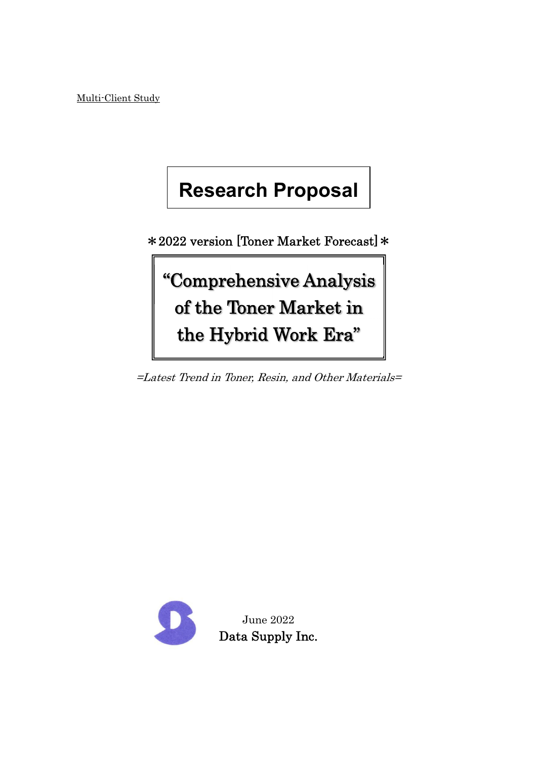Multi-Client Study

# **Research Proposal**

\*2022 version [Toner Market Forecast]\*

"Comprehensive Analysis of the Toner Market in the Hybrid Work Era"

=Latest Trend in Toner, Resin, and Other Materials=

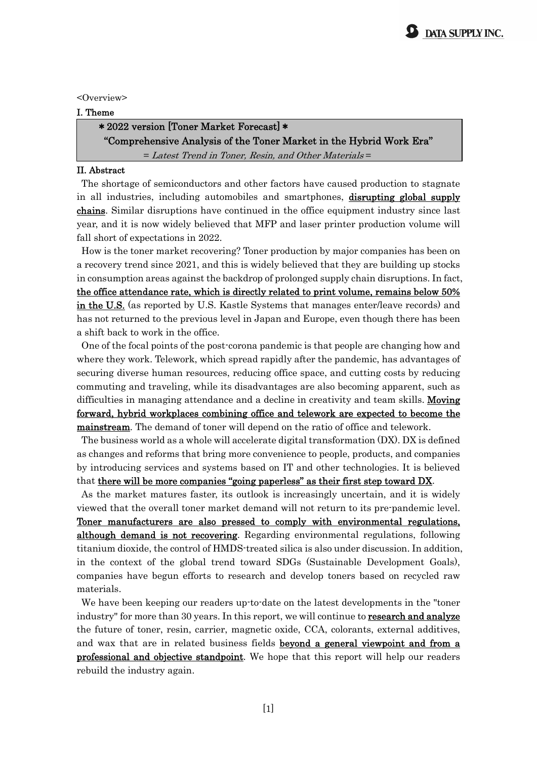<Overview>

#### I. Theme

### \*2022 version [Toner Market Forecast]\*

"Comprehensive Analysis of the Toner Market in the Hybrid Work Era" = Latest Trend in Toner, Resin, and Other Materials =

#### II. Abstract

The shortage of semiconductors and other factors have caused production to stagnate in all industries, including automobiles and smartphones, disrupting global supply chains. Similar disruptions have continued in the office equipment industry since last year, and it is now widely believed that MFP and laser printer production volume will fall short of expectations in 2022.

How is the toner market recovering? Toner production by major companies has been on a recovery trend since 2021, and this is widely believed that they are building up stocks in consumption areas against the backdrop of prolonged supply chain disruptions. In fact, the office attendance rate, which is directly related to print volume, remains below 50% in the U.S. (as reported by U.S. Kastle Systems that manages enter/leave records) and has not returned to the previous level in Japan and Europe, even though there has been a shift back to work in the office.

One of the focal points of the post-corona pandemic is that people are changing how and where they work. Telework, which spread rapidly after the pandemic, has advantages of securing diverse human resources, reducing office space, and cutting costs by reducing commuting and traveling, while its disadvantages are also becoming apparent, such as difficulties in managing attendance and a decline in creativity and team skills. **Moving** forward, hybrid workplaces combining office and telework are expected to become the mainstream. The demand of toner will depend on the ratio of office and telework.

The business world as a whole will accelerate digital transformation (DX). DX is defined as changes and reforms that bring more convenience to people, products, and companies by introducing services and systems based on IT and other technologies. It is believed that there will be more companies "going paperless" as their first step toward DX.

As the market matures faster, its outlook is increasingly uncertain, and it is widely viewed that the overall toner market demand will not return to its pre-pandemic level. Toner manufacturers are also pressed to comply with environmental regulations, although demand is not recovering. Regarding environmental regulations, following titanium dioxide, the control of HMDS-treated silica is also under discussion. In addition, in the context of the global trend toward SDGs (Sustainable Development Goals), companies have begun efforts to research and develop toners based on recycled raw materials.

We have been keeping our readers up-to-date on the latest developments in the "toner industry" for more than 30 years. In this report, we will continue to **research and analyze** the future of toner, resin, carrier, magnetic oxide, CCA, colorants, external additives, and wax that are in related business fields **beyond a general viewpoint and from a** professional and objective standpoint. We hope that this report will help our readers rebuild the industry again.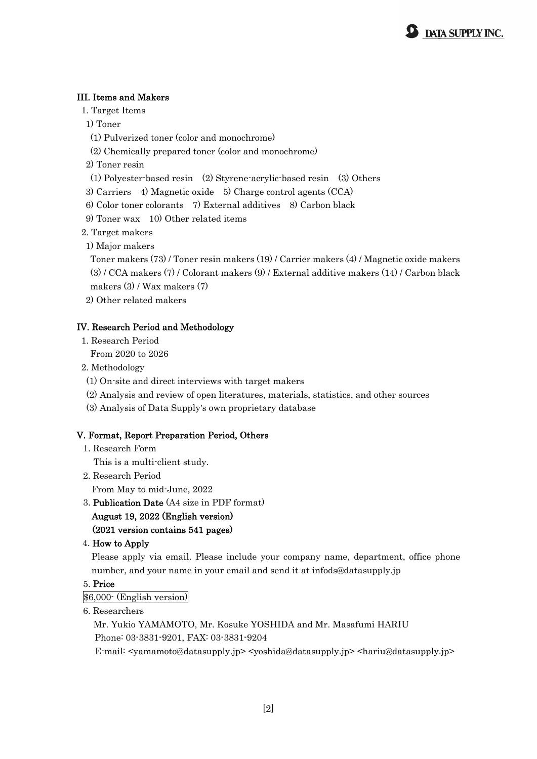#### III. Items and Makers

1. Target Items

1) Toner

- (1) Pulverized toner (color and monochrome)
- (2) Chemically prepared toner (color and monochrome)

2) Toner resin

(1) Polyester-based resin (2) Styrene-acrylic-based resin (3) Others

3) Carriers 4) Magnetic oxide 5) Charge control agents (CCA)

- 6) Color toner colorants 7) External additives 8) Carbon black
- 9) Toner wax 10) Other related items

2. Target makers

1) Major makers

 Toner makers (73) / Toner resin makers (19) / Carrier makers (4) / Magnetic oxide makers (3) / CCA makers (7) / Colorant makers (9) / External additive makers (14) / Carbon black makers (3) / Wax makers (7)

2) Other related makers

#### IV. Research Period and Methodology

1. Research Period

From 2020 to 2026

- 2. Methodology
	- (1) On-site and direct interviews with target makers
	- (2) Analysis and review of open literatures, materials, statistics, and other sources
- (3) Analysis of Data Supply's own proprietary database

#### V. Format, Report Preparation Period, Others

1. Research Form

This is a multi-client study.

2. Research Period

From May to mid-June, 2022

3. Publication Date (A4 size in PDF format)

#### August 19, 2022 (English version) (2021 version contains 541 pages)

#### 4. How to Apply

Please apply via email. Please include your company name, department, office phone number, and your name in your email and send it at infods@datasupply.jp

#### 5. Price

\$6,000- (English version)

6. Researchers

 Mr. Yukio YAMAMOTO, Mr. Kosuke YOSHIDA and Mr. Masafumi HARIU Phone: 03-3831-9201, FAX: 03-3831-9204

E-mail: <yamamoto@datasupply.jp> <yoshida@datasupply.jp> <hariu@datasupply.jp>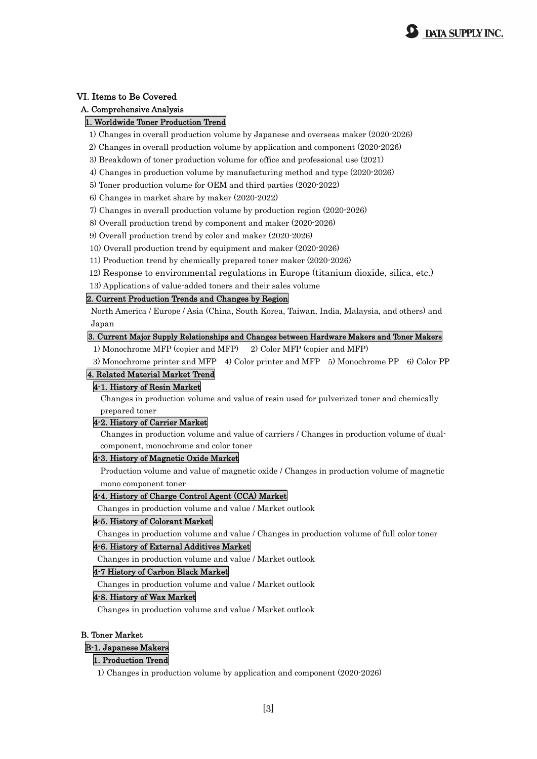

#### VI. Items to Be Covered

#### A. Comprehensive Analysis

#### 1. Worldwide Toner Production Trend

1) Changes in overall production volume by Japanese and overseas maker (2020-2026)

- 2) Changes in overall production volume by application and component (2020-2026)
- 3) Breakdown of toner production volume for office and professional use (2021)
- 4) Changes in production volume by manufacturing method and type (2020-2026)
- 5) Toner production volume for OEM and third parties (2020-2022)
- 6) Changes in market share by maker (2020-2022)
- 7) Changes in overall production volume by production region (2020-2026)
- 8) Overall production trend by component and maker (2020-2026)
- 9) Overall production trend by color and maker (2020-2026)
- 10) Overall production trend by equipment and maker (2020-2026)
- 11) Production trend by chemically prepared toner maker (2020-2026)
- 12) Response to environmental regulations in Europe (titanium dioxide, silica, etc.)
- 13) Applications of value-added toners and their sales volume

#### 2. Current Production Trends and Changes by Region

North America / Europe / Asia (China, South Korea, Taiwan, India, Malaysia, and others) and Japan

#### 3. Current Major Supply Relationships and Changes between Hardware Makers and Toner Makers

- 1) Monochrome MFP (copier and MFP) 2) Color MFP (copier and MFP)
- 3) Monochrome printer and MFP 4) Color printer and MFP 5) Monochrome PP 6) Color PP

#### 4. Related Material Market Trend

#### 4-1. History of Resin Market

Changes in production volume and value of resin used for pulverized toner and chemically prepared toner

#### 4-2. History of Carrier Market

Changes in production volume and value of carriers / Changes in production volume of dualcomponent, monochrome and color toner

#### 4-3. History of Magnetic Oxide Market

Production volume and value of magnetic oxide / Changes in production volume of magnetic mono component toner

#### 4-4. History of Charge Control Agent (CCA) Market

Changes in production volume and value / Market outlook

#### 4-5. History of Colorant Market

Changes in production volume and value / Changes in production volume of full color toner

#### 4-6. History of External Additives Market

Changes in production volume and value / Market outlook

#### 4-7 History of Carbon Black Market

Changes in production volume and value / Market outlook

#### 4-8. History of Wax Market

Changes in production volume and value / Market outlook

#### B. Toner Market

#### B-1. Japanese Makers

#### 1. Production Trend

1) Changes in production volume by application and component (2020-2026)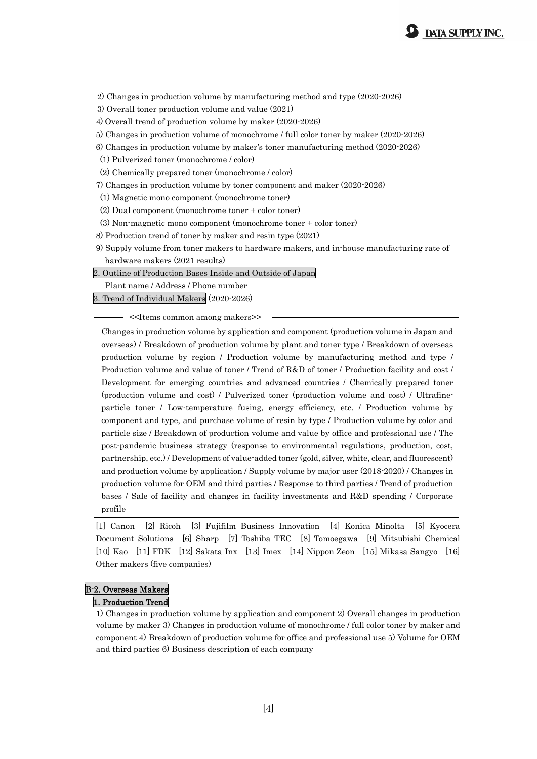

2) Changes in production volume by manufacturing method and type (2020-2026)

3) Overall toner production volume and value (2021)

4) Overall trend of production volume by maker (2020-2026)

5) Changes in production volume of monochrome / full color toner by maker (2020-2026)

6) Changes in production volume by maker's toner manufacturing method (2020-2026)

(1) Pulverized toner (monochrome / color)

(2) Chemically prepared toner (monochrome / color)

7) Changes in production volume by toner component and maker (2020-2026)

(1) Magnetic mono component (monochrome toner)

(2) Dual component (monochrome toner + color toner)

(3) Non-magnetic mono component (monochrome toner + color toner)

8) Production trend of toner by maker and resin type (2021)

9) Supply volume from toner makers to hardware makers, and in-house manufacturing rate of hardware makers (2021 results)

2. Outline of Production Bases Inside and Outside of Japan

Plant name / Address / Phone number

3. Trend of Individual Makers (2020-2026)

<<Items common among makers>>

Changes in production volume by application and component (production volume in Japan and overseas) / Breakdown of production volume by plant and toner type / Breakdown of overseas production volume by region / Production volume by manufacturing method and type / Production volume and value of toner / Trend of R&D of toner / Production facility and cost / Development for emerging countries and advanced countries / Chemically prepared toner (production volume and cost) / Pulverized toner (production volume and cost) / Ultrafineparticle toner / Low-temperature fusing, energy efficiency, etc. / Production volume by component and type, and purchase volume of resin by type / Production volume by color and particle size / Breakdown of production volume and value by office and professional use / The post-pandemic business strategy (response to environmental regulations, production, cost, partnership, etc.) / Development of value-added toner (gold, silver, white, clear, and fluorescent) and production volume by application / Supply volume by major user (2018-2020) / Changes in production volume for OEM and third parties / Response to third parties / Trend of production bases / Sale of facility and changes in facility investments and R&D spending / Corporate profile

[1] Canon [2] Ricoh [3] Fujifilm Business Innovation [4] Konica Minolta [5] Kyocera Document Solutions [6] Sharp [7] Toshiba TEC [8] Tomoegawa [9] Mitsubishi Chemical [10] Kao [11] FDK [12] Sakata Inx [13] Imex [14] Nippon Zeon [15] Mikasa Sangyo [16] Other makers (five companies)

#### B-2. Overseas Makers

#### 1. Production Trend

1) Changes in production volume by application and component 2) Overall changes in production volume by maker 3) Changes in production volume of monochrome / full color toner by maker and component 4) Breakdown of production volume for office and professional use 5) Volume for OEM and third parties 6) Business description of each company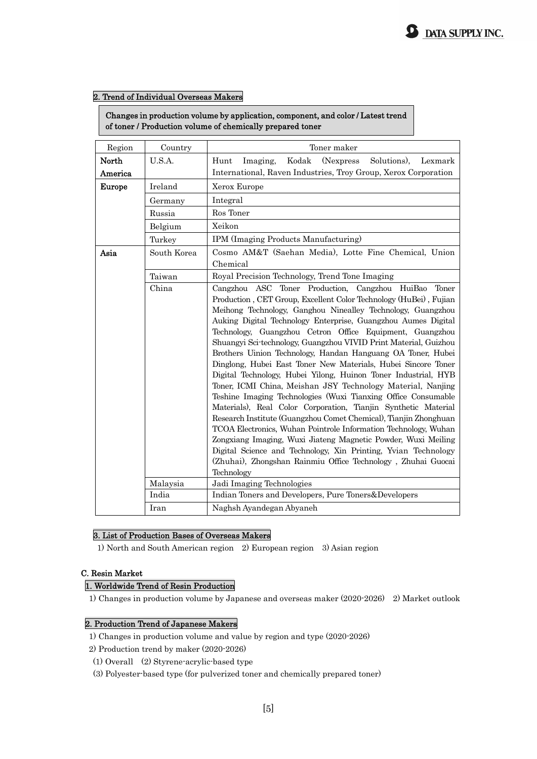#### 2. Trend of Individual Overseas Makers

Changes in production volume by application, component, and color / Latest trend of toner / Production volume of chemically prepared toner

| Region           | Country                                                  | Toner maker                                                                                                                                                                                                                                                                                                                                                                                                                                                                                                                                                                                                                                                                                                                                                                                                                                                                                                                                                                                                                                                                                                                                              |  |  |  |  |  |
|------------------|----------------------------------------------------------|----------------------------------------------------------------------------------------------------------------------------------------------------------------------------------------------------------------------------------------------------------------------------------------------------------------------------------------------------------------------------------------------------------------------------------------------------------------------------------------------------------------------------------------------------------------------------------------------------------------------------------------------------------------------------------------------------------------------------------------------------------------------------------------------------------------------------------------------------------------------------------------------------------------------------------------------------------------------------------------------------------------------------------------------------------------------------------------------------------------------------------------------------------|--|--|--|--|--|
| North<br>America | U.S.A.                                                   | Kodak<br>(Nexpress)<br>Solutions),<br>Hunt<br>Imaging,<br>Lexmark<br>International, Raven Industries, Troy Group, Xerox Corporation                                                                                                                                                                                                                                                                                                                                                                                                                                                                                                                                                                                                                                                                                                                                                                                                                                                                                                                                                                                                                      |  |  |  |  |  |
| <b>Europe</b>    | Ireland                                                  | Xerox Europe                                                                                                                                                                                                                                                                                                                                                                                                                                                                                                                                                                                                                                                                                                                                                                                                                                                                                                                                                                                                                                                                                                                                             |  |  |  |  |  |
|                  | Germany                                                  | Integral                                                                                                                                                                                                                                                                                                                                                                                                                                                                                                                                                                                                                                                                                                                                                                                                                                                                                                                                                                                                                                                                                                                                                 |  |  |  |  |  |
|                  | Russia                                                   | Ros Toner                                                                                                                                                                                                                                                                                                                                                                                                                                                                                                                                                                                                                                                                                                                                                                                                                                                                                                                                                                                                                                                                                                                                                |  |  |  |  |  |
|                  | Belgium                                                  | Xeikon                                                                                                                                                                                                                                                                                                                                                                                                                                                                                                                                                                                                                                                                                                                                                                                                                                                                                                                                                                                                                                                                                                                                                   |  |  |  |  |  |
|                  | Turkey                                                   | IPM (Imaging Products Manufacturing)                                                                                                                                                                                                                                                                                                                                                                                                                                                                                                                                                                                                                                                                                                                                                                                                                                                                                                                                                                                                                                                                                                                     |  |  |  |  |  |
| Asia             | South Korea                                              | Cosmo AM&T (Saehan Media), Lotte Fine Chemical, Union<br>Chemical                                                                                                                                                                                                                                                                                                                                                                                                                                                                                                                                                                                                                                                                                                                                                                                                                                                                                                                                                                                                                                                                                        |  |  |  |  |  |
|                  | Royal Precision Technology, Trend Tone Imaging<br>Taiwan |                                                                                                                                                                                                                                                                                                                                                                                                                                                                                                                                                                                                                                                                                                                                                                                                                                                                                                                                                                                                                                                                                                                                                          |  |  |  |  |  |
|                  | China<br>Malaysia                                        | Cangzhou ASC Toner Production, Cangzhou HuiBao<br>Toner<br>Production, CET Group, Excellent Color Technology (HuBei), Fujian<br>Meihong Technology, Ganghou Ninealley Technology, Guangzhou<br>Auking Digital Technology Enterprise, Guangzhou Aumes Digital<br>Technology, Guangzhou Cetron Office Equipment, Guangzhou<br>Shuangyi Sci-technology, Guangzhou VIVID Print Material, Guizhou<br>Brothers Uinion Technology, Handan Hanguang OA Toner, Hubei<br>Dinglong, Hubei East Toner New Materials, Hubei Sincore Toner<br>Digital Technology, Hubei Yilong, Huinon Toner Industrial, HYB<br>Toner, ICMI China, Meishan JSY Technology Material, Nanjing<br>Teshine Imaging Technologies (Wuxi Tianxing Office Consumable<br>Materials), Real Color Corporation, Tianjin Synthetic Material<br>Research Institute (Guangzhou Comet Chemical), Tianjin Zhonghuan<br>TCOA Electronics, Wuhan Pointrole Information Technology, Wuhan<br>Zongxiang Imaging, Wuxi Jiateng Magnetic Powder, Wuxi Meiling<br>Digital Science and Technology, Xin Printing, Yvian Technology<br>(Zhuhai), Zhongshan Rainmiu Office Technology, Zhuhai Guocai<br>Technology |  |  |  |  |  |
|                  | Jadi Imaging Technologies                                |                                                                                                                                                                                                                                                                                                                                                                                                                                                                                                                                                                                                                                                                                                                                                                                                                                                                                                                                                                                                                                                                                                                                                          |  |  |  |  |  |
|                  | India                                                    | Indian Toners and Developers, Pure Toners&Developers                                                                                                                                                                                                                                                                                                                                                                                                                                                                                                                                                                                                                                                                                                                                                                                                                                                                                                                                                                                                                                                                                                     |  |  |  |  |  |
|                  | Iran                                                     | Naghsh Ayandegan Abyaneh                                                                                                                                                                                                                                                                                                                                                                                                                                                                                                                                                                                                                                                                                                                                                                                                                                                                                                                                                                                                                                                                                                                                 |  |  |  |  |  |

#### 3. List of Production Bases of Overseas Makers

1) North and South American region 2) European region 3) Asian region

#### C. Resin Market

#### 1. Worldwide Trend of Resin Production

1) Changes in production volume by Japanese and overseas maker (2020-2026) 2) Market outlook

#### 2. Production Trend of Japanese Makers

- 1) Changes in production volume and value by region and type (2020-2026)
- 2) Production trend by maker (2020-2026)
- (1) Overall (2) Styrene-acrylic-based type
- (3) Polyester-based type (for pulverized toner and chemically prepared toner)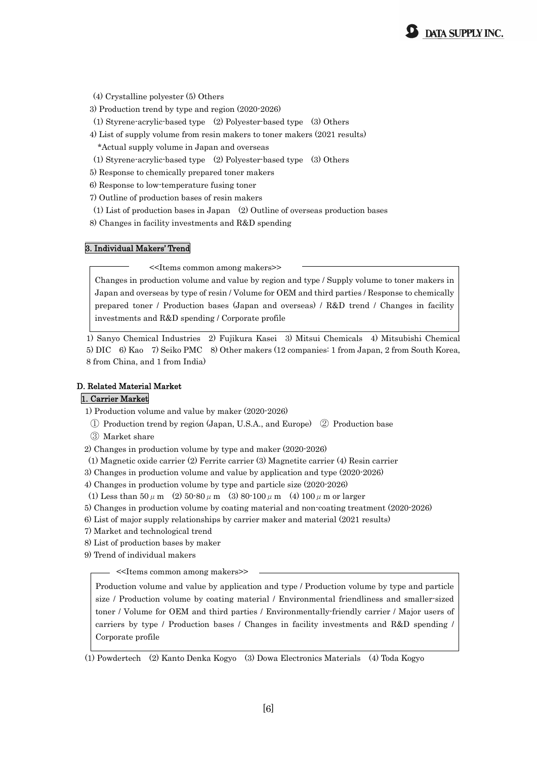- (4) Crystalline polyester (5) Others
- 3) Production trend by type and region (2020-2026)
- (1) Styrene-acrylic-based type (2) Polyester-based type (3) Others
- 4) List of supply volume from resin makers to toner makers (2021 results)
	- \*Actual supply volume in Japan and overseas
- (1) Styrene-acrylic-based type (2) Polyester-based type (3) Others
- 5) Response to chemically prepared toner makers
- 6) Response to low-temperature fusing toner
- 7) Outline of production bases of resin makers
- (1) List of production bases in Japan (2) Outline of overseas production bases
- 8) Changes in facility investments and R&D spending

#### 3. Individual Makers' Trend

<<Items common among makers>>

Changes in production volume and value by region and type / Supply volume to toner makers in Japan and overseas by type of resin / Volume for OEM and third parties / Response to chemically prepared toner / Production bases (Japan and overseas) / R&D trend / Changes in facility investments and R&D spending / Corporate profile

1) Sanyo Chemical Industries 2) Fujikura Kasei 3) Mitsui Chemicals 4) Mitsubishi Chemical 5) DIC 6) Kao 7) Seiko PMC 8) Other makers (12 companies: 1 from Japan, 2 from South Korea, 8 from China, and 1 from India)

#### D. Related Material Market

#### 1. Carrier Market

1) Production volume and value by maker (2020-2026)

- ① Production trend by region (Japan, U.S.A., and Europe) ② Production base
- ③ Market share
- 2) Changes in production volume by type and maker (2020-2026)
- (1) Magnetic oxide carrier (2) Ferrite carrier (3) Magnetite carrier (4) Resin carrier
- 3) Changes in production volume and value by application and type (2020-2026)
- 4) Changes in production volume by type and particle size (2020-2026)
- (1) Less than  $50 \mu$  m (2)  $50.80 \mu$  m (3)  $80.100 \mu$  m (4)  $100 \mu$  m or larger
- 5) Changes in production volume by coating material and non-coating treatment (2020-2026)
- 6) List of major supply relationships by carrier maker and material (2021 results)
- 7) Market and technological trend
- 8) List of production bases by maker
- 9) Trend of individual makers

- <<Items common among makers>>

Production volume and value by application and type / Production volume by type and particle size / Production volume by coating material / Environmental friendliness and smaller-sized toner / Volume for OEM and third parties / Environmentally-friendly carrier / Major users of carriers by type / Production bases / Changes in facility investments and R&D spending / Corporate profile

(1) Powdertech (2) Kanto Denka Kogyo (3) Dowa Electronics Materials (4) Toda Kogyo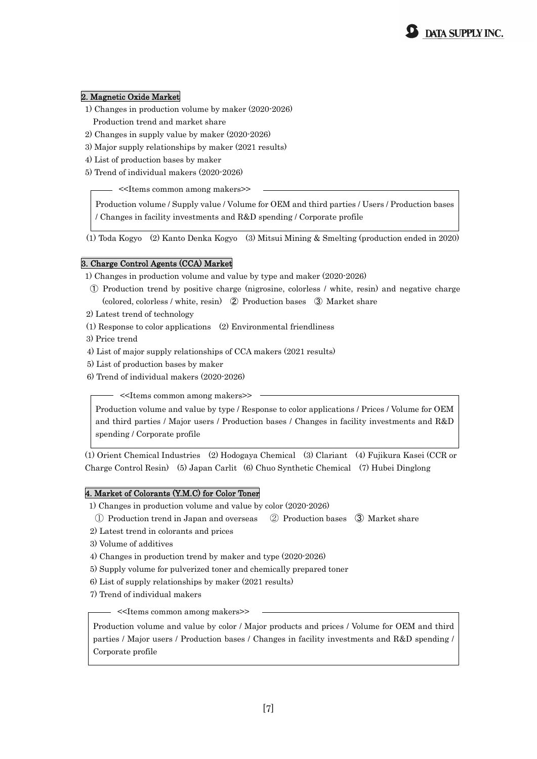#### 2. Magnetic Oxide Market

- 1) Changes in production volume by maker (2020-2026) Production trend and market share
- 2) Changes in supply value by maker (2020-2026)
- 3) Major supply relationships by maker (2021 results)
- 4) List of production bases by maker
- 5) Trend of individual makers (2020-2026)

<<Items common among makers>>

Production volume / Supply value / Volume for OEM and third parties / Users / Production bases / Changes in facility investments and R&D spending / Corporate profile

(1) Toda Kogyo (2) Kanto Denka Kogyo (3) Mitsui Mining & Smelting (production ended in 2020)

#### 3. Charge Control Agents (CCA) Market

- 1) Changes in production volume and value by type and maker (2020-2026)
- ① Production trend by positive charge (nigrosine, colorless / white, resin) and negative charge (colored, colorless / white, resin) ② Production bases ③ Market share
- 2) Latest trend of technology
- (1) Response to color applications (2) Environmental friendliness
- 3) Price trend
- 4) List of major supply relationships of CCA makers (2021 results)
- 5) List of production bases by maker
- 6) Trend of individual makers (2020-2026)

<<Items common among makers>>

Production volume and value by type / Response to color applications / Prices / Volume for OEM and third parties / Major users / Production bases / Changes in facility investments and R&D spending / Corporate profile

(1) Orient Chemical Industries (2) Hodogaya Chemical (3) Clariant (4) Fujikura Kasei (CCR or Charge Control Resin) (5) Japan Carlit (6) Chuo Synthetic Chemical (7) Hubei Dinglong

#### 4. Market of Colorants (Y.M.C) for Color Toner

1) Changes in production volume and value by color (2020-2026)

- ① Production trend in Japan and overseas ② Production bases ③ Market share
- 2) Latest trend in colorants and prices
- 3) Volume of additives
- 4) Changes in production trend by maker and type (2020-2026)
- 5) Supply volume for pulverized toner and chemically prepared toner
- 6) List of supply relationships by maker (2021 results)
- 7) Trend of individual makers

<<Items common among makers>>

Production volume and value by color / Major products and prices / Volume for OEM and third parties / Major users / Production bases / Changes in facility investments and R&D spending / Corporate profile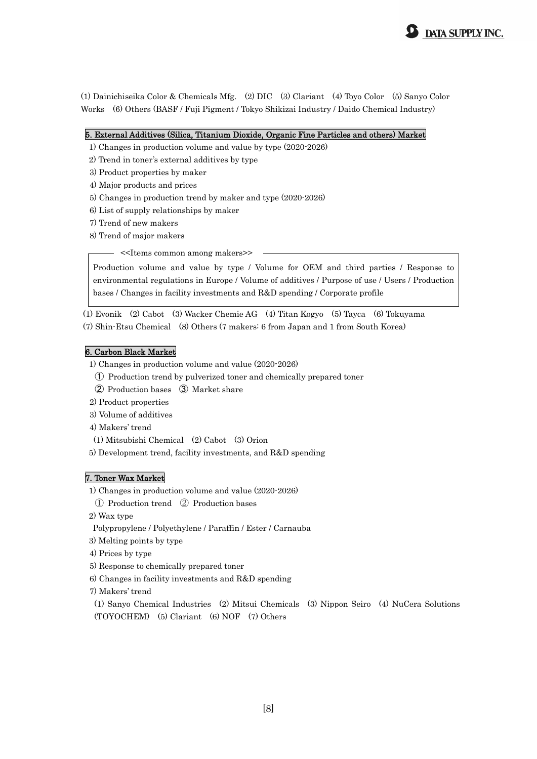(1) Dainichiseika Color & Chemicals Mfg. (2) DIC (3) Clariant (4) Toyo Color (5) Sanyo Color Works (6) Others (BASF / Fuji Pigment / Tokyo Shikizai Industry / Daido Chemical Industry)

#### 5. External Additives (Silica, Titanium Dioxide, Organic Fine Particles and others) Market

- 1) Changes in production volume and value by type (2020-2026)
- 2) Trend in toner's external additives by type
- 3) Product properties by maker
- 4) Major products and prices
- 5) Changes in production trend by maker and type (2020-2026)
- 6) List of supply relationships by maker
- 7) Trend of new makers
- 8) Trend of major makers

- <<Items common among makers>>

Production volume and value by type / Volume for OEM and third parties / Response to environmental regulations in Europe / Volume of additives / Purpose of use / Users / Production bases / Changes in facility investments and R&D spending / Corporate profile

(1) Evonik (2) Cabot (3) Wacker Chemie AG (4) Titan Kogyo (5) Tayca (6) Tokuyama (7) Shin-Etsu Chemical (8) Others (7 makers: 6 from Japan and 1 from South Korea)

#### 6. Carbon Black Market

1) Changes in production volume and value (2020-2026)

- ① Production trend by pulverized toner and chemically prepared toner
- ② Production bases ③ Market share
- 2) Product properties
- 3) Volume of additives
- 4) Makers' trend
- (1) Mitsubishi Chemical (2) Cabot (3) Orion
- 5) Development trend, facility investments, and R&D spending

#### 7. Toner Wax Market

1) Changes in production volume and value (2020-2026)

① Production trend ② Production bases

2) Wax type

Polypropylene / Polyethylene / Paraffin / Ester / Carnauba

- 3) Melting points by type
- 4) Prices by type
- 5) Response to chemically prepared toner
- 6) Changes in facility investments and R&D spending
- 7) Makers' trend

(1) Sanyo Chemical Industries (2) Mitsui Chemicals (3) Nippon Seiro (4) NuCera Solutions (TOYOCHEM) (5) Clariant (6) NOF (7) Others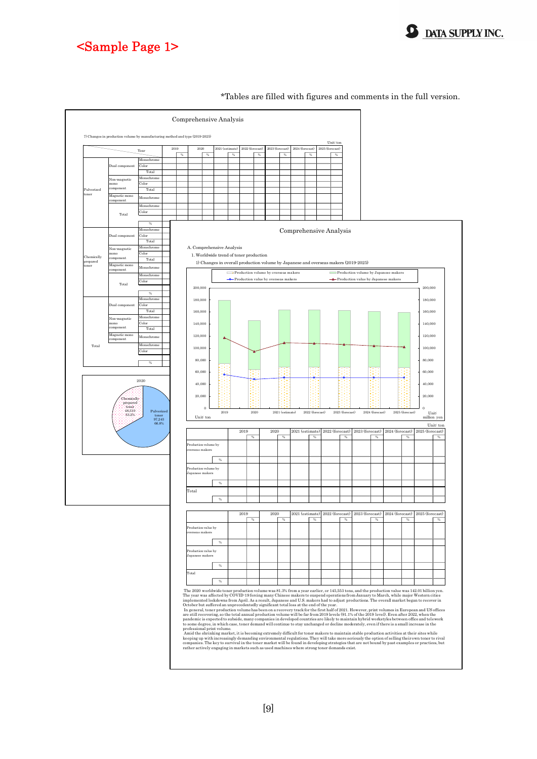



Unit: to:

Unit: m<sub>y</sub>

#### Comprehensive Analysis 7) Changes in production volume by manufacturing method and type (2019-2025) Unit: ton Year 2021 2022 (forecast) 2023 (forecast) 2023 (forecast) 2023 (forecast) 2025 (forecast) 2019 2020 2021 (estimate) 2022 (forecast) 2023 (forecast) 2024 (forecast) %%%%%%% Monochrome 25,491 14.2 13.3 22,492 13.3 22,474 13.3 22,474 13.3 22,412 13.8 22,547 13.8 21,48 21,488 13.5 21,4 Dual component Color 11,425 6.4 8,701 6.0 9,939 6.1 10,150 6.2 10,208 6.3 10,284 6.4 10,349 6.5 Total 36,916 20.6 28,023 19.3 32,401 19.9 32,697 20.0 32,619 20.1 32,241 20.0 31,837 20.0 on-magneti Monochrome 25,175 14.1 21,675 14.1 21,676 14.9 23,396 14.9 24,010 14.3 24,648 15.2 25,074 15.2 25,074 16.1 25, mono Color 3,025 1.7 2,025 1.8 2,025 1.9 3,134 1.9 3,134 1.9 3,134 1.9 3,134 1.9 3,134 1.9 3,134 1.9 3,134 1.9 3,13 component Pulverized Total 28,200 15.7 26,200 15.7 26,360 16.7 27,2860 16.7 28,396 16.2 28,539 17.2 28,539 17.2 28,539 17.7 29,133 1 toner Magnetic mono Monochrome 53,204 30.9 49.7 44,994 30.9 49.9 49.9 49.9 4.94,994 30.9 47,940 27.8 46,545 27.8 44,820 27.1 44,820 component Monochrome 103,870 58.0 85,911 59.0 94,852 58.1 94,497 57.7 93,604 57.6 91,850 57.1 90,282 56.6 Total Color 14,450 8.1 12,532 7.8 12,503 8.1 12,503 8.1 12,890 8.1 13,973 8.1 13,973 8.1 13,974 8.1 13,974 8.973 8.1 118,320 66.1 97,243 66.8 107,755 66.1 107,780 65.9 107,090 65.9 105,600 65.6 104,255 65.3 % - 82.2 110.8 100.0 99.4 98.6 98.7 Monochrome 23,313.0 13.0 13.1 13.1 21,120 13.1 21,120 12.7 20,310 12.7 20,310 12.5 20,310 12.5 20,310 12.7 20,310 12.5 20,310 12.7 20,310 12.7 20,310 12.5 20,310 12.5 20,310 12.5 20,310 12.5 20,310 12.5 20,310 12.5 20,310 Dual component  $\text{Color}$  1  $\Gamma$ otal  $\blacksquare$ n-magnetic Monochrome A. Comprehensive Analysis mono Color 6,390 3.5 1.3 Worldwide trend of toner production Chemically prepared component Total 13,150 1.160 1.160 7.3 13,140 7.5 12,390 7.5 12,390 7.5 12,390 7.6 12,390 7.6 12,390 7.5 12,390 7.5 12,390 7.5 12,390 7.5 12,390 7.5 12,390 7.5 12,390 7.5 12,390 7.5 12,390 7.5 12,390 7.5 12,390 7.5 12,390 7.5 12,390 toner Magnetic mono Monochrome 5,500 3.1 4,700 3.1 4,700 3.1 5,500 3.1 5,700 3.1 5,100 3.1 5,100 3.1 5,100 3.1 5,100 3.1 5,100 3.1 5,100 3.1 5,100 3.1 5,100 3.1 5,100 3.1 5,100 3.1 5,100 3.1 5,100 3.1 5,100 3.1 5,100 3.1 5,100 3.100 3.100 3.1 component Production volume by overseas makers Production volume by Japanese makers Monochrome 35,560 19.9 28,528,590 20.0 32,500 20.0 32,590 20.0 32,500 20.0 32,590 20.590 20.0 32,590 20.590 20.590 20.590 20.590 20.590 20.590 20.590 20.590 20.590 20.590 20.590 20.590 20.590 20.590 20.590 20.590 20.590 20  $\triangle$  Production value by Japanese makers Total 200,000 **60,810 33.9 56,380 33.9 55,300 34.1 55,300 34.3 55,360 34.3 55,300 34.1 55,300 34.1 55,300 34.1 55,320 34.7 5** 200,000 % - 79.5 114.6 114.6 114.6 114.6 114.6 114.6 114.6 114.6 114.6 114.6 114.6 114.6 114.6 114.6 114.6 114.6 114.6 180,000 180,000 Monochrome 48,800 26.8 43,800 26.7 43,900 26.7 43,67 43,67 43,67 26.7 43,67 43,67 26.7 43,67 26.5 42,267 26.3 41,518 26.0 43,67 43,67 43,67 41,518 26.0 42,267 26.3 41,518 26.0 41,518 26.0 41,518 26.0 41,518 26.0 41,518 26. Dual component Color 30,205 16.9 27,009 16.9 27,281 15.9 27,288 16.9 27,288 16.9 27,288 16.7 27,288 17.08 27,288 17.089 17.08 160,000 160,000 Total 79,006 44.1 60,473 41.5 70,911 43.5 71,027 43.4 70,349 43.3 69,441 43.1 68,607 43.0 Monochrome 31,925 17.8 27,421 18.8 27,421 18.8 29,626 18.8 29,626 19.2 31,088 19.1 31,493 19.1 31,490 20.000 20 Non-magnetic 140,000 140,000 mono  $\text{Color}$  | | |  $\text{140,000}$  | | | | | | | | | | n<br>Popula Total 41,340 23.1 35,456 23.1 35,456 23.1 39,330 23.5 39,593 24.3 39,593 26.3 40,306 25.3 40,306 26.1 41,523 2 120,000 120,000 Magnetic mono Monochrome 58,704 32.8 49,625 34.1 53,894 33.0 53,040 32.4 51,945 31.9 50,590 31.4 49,445 31.0 component Total Monochrome 139,430 77.9 127.9 127.9 127.9 127,438 78.6 127,439 77.1 127.1 127.1 127.1 127.1 127.1 127.1 127.1 100,000 100,000 Color 39,620 22.1 31,115 21.12 36,713 21.12 36,713 21.3 36,713 21.3 36,610 22.3 36,610 22.5 36,704 23.03 36,70 179,050 100.0 145,553 100.0 163,135 100.0 163,660 100.0 162,600 100.0 160,960 100.0 159,575 100.0 80,000 80,000 % - 81.3 112.1 112.1 112.1 112.1 112.1 112.1 112.1 112.1 112.1 112.1 112.1 112.1 112.1 112.1 112.1 112.1 112.1 60,000 en ook 2020 2025 (forecast) 40,000 40,000 20,000 20,000 Chemically Chemically prepared prepared toner 0  $\frac{1}{20}$  $\epsilon$ 48,310 Pulverized toner 97,243 66.8% 2019 2020 2021 (estimate) 2022 (forecast) 2023 (forecast) 2024 (forecast) 2025 (forecast) estimate) Unit: ton 33.2% 104,255 2019 2020 2021 (estimate) 2022 (forecast) 2023 (forecast) 2024 (forecast) 2025 (forecast) oduction volume by 73,870 41.3 63,610 43.7 68,050 41.7 68,477 41.8 68,580 42.2 68,115 42.3 67,950 42.6 overseas makers Г % - 86.1 107.0 107.1 107.1 107.1 107.1 107.1 107.1 107.1 107.1 107.1 107.1 107.1 107.1 107.1 107.1 107.1 107.1 Production volume by Japanese makers 105,180 58.7 81,943 56.3 95,085 58.3 95,183 58.2 94,020 57.8 92,845 57.7 91,625 57.4 % - 77.9 116.0 100.1 98.8 98.8 98.7 Total 179,050 100.0 100.0 163,553 100.0 163,135,553 100.0 163,575,575 100.0 163,575 100.0 160,575 100.0 163,66 % **- 81.3 112.1 112.1 112.1 112.1 112.1 112.1 112.1 112.1 112.1 112.1 112.1 112.1 112.1 112.1 112.1 112.1 112.1 11** 2019 2020 2021 (estimate) 2022 (forecast) 2023 (forecast) 2024 (forecast) 2025 (forecast) %%%%%%% Production value by 55,730 32.3 47,880 33.7 50,940 31.9 50,990 32.1 50,890 32.5 50,840 32.9 50,940 33.4 .<br>seas makers % - 85.9 106.9 106.9 106.9 106.9 106.9 106.9 106.9 100.1 100.1 100.1 100.1 100.1 100.1 100.1 100.1 100.1 100.1 Production value by 116,970 67.7 94,130 66.3 108,530 68.1 107,800 67.9 105,910 67.5 103,680 67.1 101,710 66.6 Japanese makers  $\Gamma$ % - 80.5 115.3 99.3 98.2 97.9 98.1 Total 172,700 100.0 142,010 100.0 159,470 100.0 158,790 100.0 156,800 100.0 154,520 100.0 152,650 100.0 % - 82.2 112.3 99.6 98.7 98.5 98.8 The 2020 worldwide toner production volume was 81.3% from a year earlier, or 145,553 tons, and the production value was 142.01 billion yen.<br>The year was affected by COVID-19 forcing many Chinese makers to suspend operation implemented lockdowns from April. As a result, Japanese and U.S. makers had to adjust productions. The overall market began to recover in Ordebre but suffered an unprecedentedly significant otal loss at the end of the year

#### \*Tables are filled with figures and comments in the full version.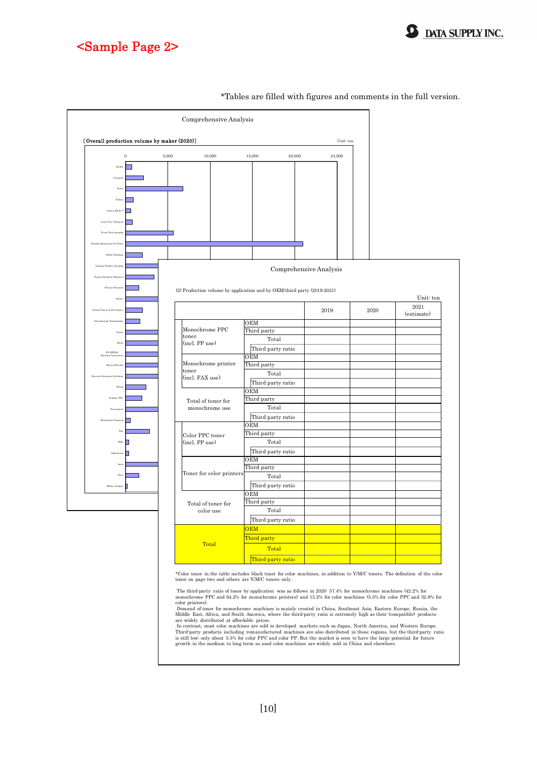

### <Sample Page 2>

|                                             |         |                                     | Comprehensive Analysis                                                  |                          |                        |      |                       |
|---------------------------------------------|---------|-------------------------------------|-------------------------------------------------------------------------|--------------------------|------------------------|------|-----------------------|
| [Overall production volume by maker (2020)] |         |                                     |                                                                         |                          | Unit: ton              |      |                       |
|                                             | $\,0\,$ | 5,000<br>10,000<br>15,000<br>20,000 |                                                                         |                          | 25,000                 |      |                       |
| Kodak                                       | ▁       |                                     |                                                                         |                          |                        |      |                       |
| Lexmark                                     |         |                                     |                                                                         |                          |                        |      |                       |
| Xero:                                       |         |                                     |                                                                         |                          |                        |      |                       |
|                                             |         |                                     |                                                                         |                          |                        |      |                       |
| Xeikor                                      |         |                                     |                                                                         |                          |                        |      |                       |
| Cosmo AM & $^\circ$                         |         |                                     |                                                                         |                          |                        |      |                       |
| Fine Chen                                   |         |                                     |                                                                         |                          |                        |      |                       |
| Trend Tone Imaging                          |         |                                     |                                                                         |                          |                        |      |                       |
| Handan Hanguang OA Tone                     |         |                                     |                                                                         |                          |                        |      |                       |
| Hubei Dinglong                              |         |                                     |                                                                         |                          |                        |      |                       |
| Nanjing Teshine Imaging                     |         |                                     |                                                                         |                          |                        |      |                       |
| Tianiin Synthetic Materia                   |         |                                     |                                                                         |                          | Comprehensive Analysis |      |                       |
|                                             |         |                                     |                                                                         |                          |                        |      |                       |
| Wuhan Pointrol                              |         |                                     | (2) Production volume by application and by OEM/third party (2019-2021) |                          |                        |      |                       |
| Other                                       |         |                                     |                                                                         |                          |                        |      | Unit: ton<br>$2021\,$ |
| <b>Indian Toners &amp; Developer</b>        |         |                                     |                                                                         |                          | 2019                   | 2020 | (estimate)            |
| Jadi Imaging Technologies                   |         |                                     |                                                                         | OEM                      |                        |      |                       |
| Canor                                       |         |                                     | Monochrome PPC                                                          | Third party              |                        |      |                       |
| Ricol                                       |         |                                     | toner<br>(incl. PP use)                                                 | Total                    |                        |      |                       |
| FUJIFILM                                    |         |                                     |                                                                         | Third party ratio        |                        |      |                       |
| Konica Minolta                              |         |                                     | Monochrome printer                                                      | OEM<br>Third party       |                        |      |                       |
| ment Solu                                   |         |                                     | toner                                                                   | Total                    |                        |      |                       |
|                                             |         |                                     | (incl. FAX use)                                                         | Third party ratio        |                        |      |                       |
| Sharp                                       |         |                                     |                                                                         | OEM                      |                        |      |                       |
| Toshiba TEC                                 |         |                                     | Total of toner for                                                      | Third party              |                        |      |                       |
|                                             |         |                                     | monochrome use                                                          | Total                    |                        |      |                       |
| Mitsubishi Chemical                         |         |                                     |                                                                         | Third party ratio<br>OEM |                        |      |                       |
| Ku                                          |         |                                     | Color PPC toner<br>(incl. PP use)                                       | Third party              |                        |      |                       |
| $_{\rm FDK}$                                | г       |                                     |                                                                         | Total                    |                        |      |                       |
| Sakata Inx                                  |         |                                     |                                                                         | Third party ratio        |                        |      |                       |
| Ime                                         |         |                                     |                                                                         | OEM                      |                        |      |                       |
| Zeon                                        |         |                                     | Toner for color printers                                                | Third party              |                        |      |                       |
|                                             |         |                                     |                                                                         | Total                    |                        |      |                       |
| Mikasa Sangyo                               |         |                                     |                                                                         | Third party ratio<br>OEM |                        |      |                       |
|                                             |         |                                     | Total of toner for<br>color use                                         | Third party              |                        |      |                       |
|                                             |         |                                     |                                                                         | Total                    |                        |      |                       |
|                                             |         |                                     |                                                                         | Third party ratio        |                        |      |                       |
|                                             |         |                                     |                                                                         | <b>OEM</b>               |                        |      |                       |
|                                             |         |                                     |                                                                         | Third party              |                        |      |                       |
|                                             |         |                                     | Total                                                                   | Total                    |                        |      |                       |

#### \*Tables are filled with figures and comments in the full version.

\*Color toner in the table includes black toner for color machines, in addition to Y/M/C toners. The definition of the color toner on page two and others are Y/M/C toners only.

The third-party ratio of toner by application was as follows in 2020: 57.4% for monochrome machines (42.2% for<br>monochrome PPC and 64.2% for monochrome printers) and 13.2% for color machines (5.5% for color PPC and 32.8% fo

Demand of toner for monochrome machines is mainly created in China, Southeast Asia, Eastern Europe, Russia, the Middle East, Africa, and South America, where the third party ratio is extremely high as their (compatible) p

Third party ratio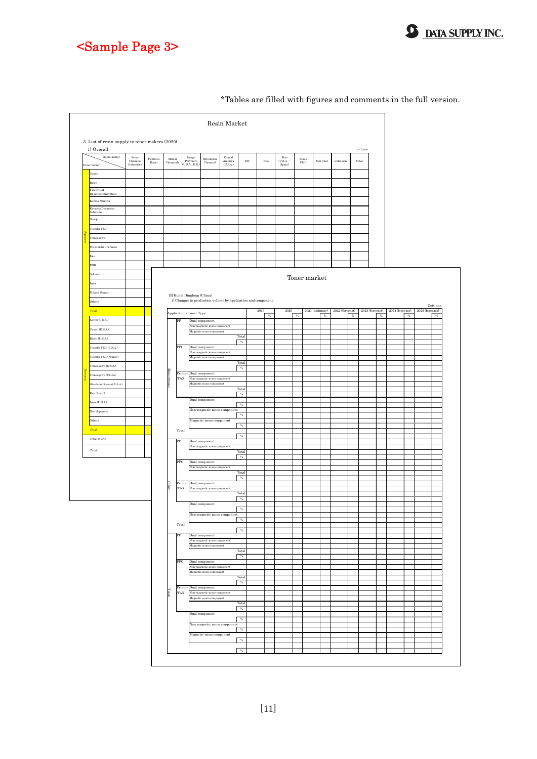



\*Tables are filled with figures and comments in the full version.

**S** DATA SUPPLY INC.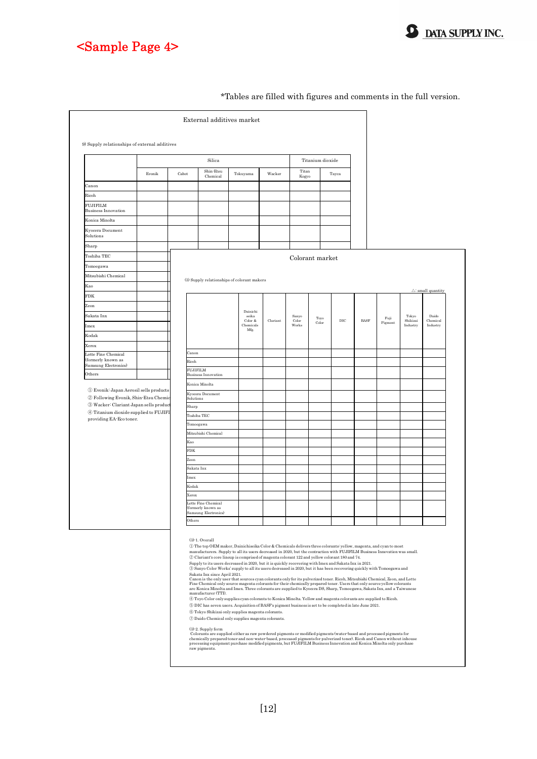

Canon Ricoh

Sharp

Kao FDK Zeon

Imex Kodak Xerox

Others



\*Tables are filled with figures and comments in the full version.

**9** DATA SUPPLY INC.

Supply to its users decreased in 2020, but it is quickly recovering with Imex and Sakata Inx in 2021.<br>© Sanyo Color Works' supply to all its users decreased in 2020, but it has been recovering quickly with Tomoegawa and Sa

⑤ DIC has seven users. Acquisition of BASF's pigment business is set to be completed in late June 2021.

⑥ Tokyo Shikizai only supplies magenta colorants.

 $\textcircled{7}$  Daido Chemical only supplies magenta colorants.

(3)-2. Supply form<br>Colorants are supplied either as raw powdered pigments or modified pigments (water-based and processed pigments for<br>chemically prepared toner and non-water-based, processed pigments for pulverized toner)